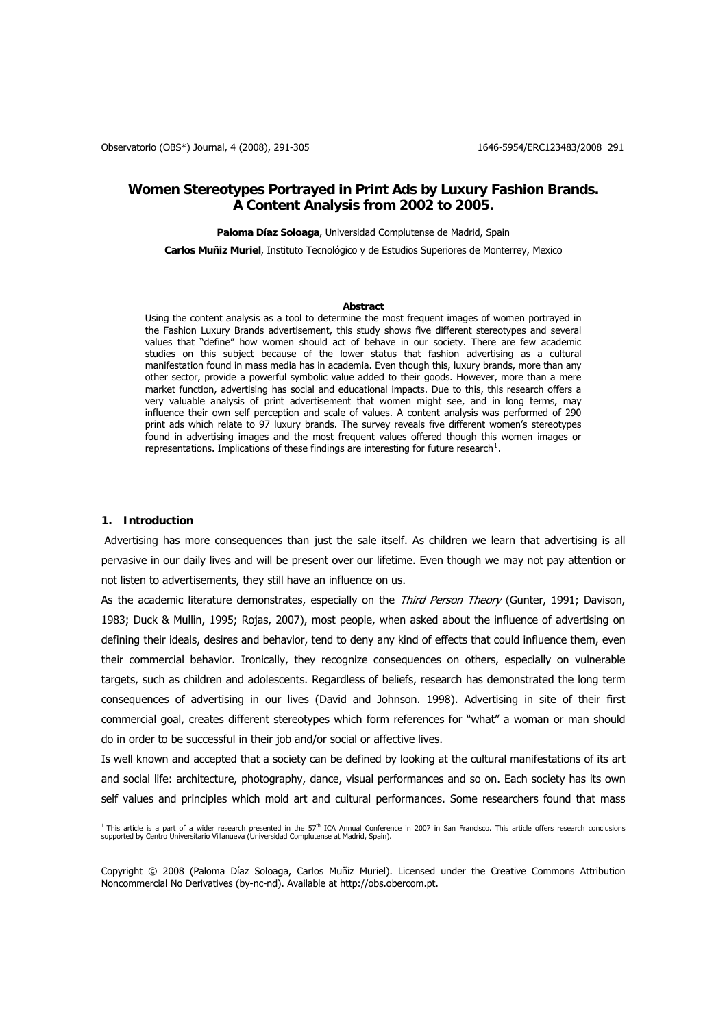# **Women Stereotypes Portrayed in Print Ads by Luxury Fashion Brands. A Content Analysis from 2002 to 2005.**

**Paloma Díaz Soloaga**, Universidad Complutense de Madrid, Spain

**Carlos Muñiz Muriel**, Instituto Tecnológico y de Estudios Superiores de Monterrey, Mexico

#### **Abstract**

Using the content analysis as a tool to determine the most frequent images of women portrayed in the Fashion Luxury Brands advertisement, this study shows five different stereotypes and several values that "define" how women should act of behave in our society. There are few academic studies on this subject because of the lower status that fashion advertising as a cultural manifestation found in mass media has in academia. Even though this, luxury brands, more than any other sector, provide a powerful symbolic value added to their goods. However, more than a mere market function, advertising has social and educational impacts. Due to this, this research offers a very valuable analysis of print advertisement that women might see, and in long terms, may influence their own self perception and scale of values. A content analysis was performed of 290 print ads which relate to 97 luxury brands. The survey reveals five different women's stereotypes found in advertising images and the most frequent values offered though this women images or representations. Implications of these findings are interesting for future research<sup>[1](#page-0-0)</sup>.

### **1. Introduction**

Advertising has more consequences than just the sale itself. As children we learn that advertising is all pervasive in our daily lives and will be present over our lifetime. Even though we may not pay attention or not listen to advertisements, they still have an influence on us.

As the academic literature demonstrates, especially on the Third Person Theory (Gunter, 1991; Davison, 1983; Duck & Mullin, 1995; Rojas, 2007), most people, when asked about the influence of advertising on defining their ideals, desires and behavior, tend to deny any kind of effects that could influence them, even their commercial behavior. Ironically, they recognize consequences on others, especially on vulnerable targets, such as children and adolescents. Regardless of beliefs, research has demonstrated the long term consequences of advertising in our lives (David and Johnson. 1998). Advertising in site of their first commercial goal, creates different stereotypes which form references for "what" a woman or man should do in order to be successful in their job and/or social or affective lives.

Is well known and accepted that a society can be defined by looking at the cultural manifestations of its art and social life: architecture, photography, dance, visual performances and so on. Each society has its own self values and principles which mold art and cultural performances. Some researchers found that mass

<span id="page-0-0"></span><sup>&</sup>lt;sup>1</sup> This article is a part of a wider research presented in the 57<sup>th</sup> ICA Annual Conference in 2007 in San Francisco. This article offers research conclusions supported by Centro Universitario Villanueva (Universidad Complutense at Madrid, Spain).

Copyright © 2008 (Paloma Díaz Soloaga, Carlos Muñiz Muriel). Licensed under the Creative Commons Attribution Noncommercial No Derivatives (by-nc-nd). Available at http://obs.obercom.pt.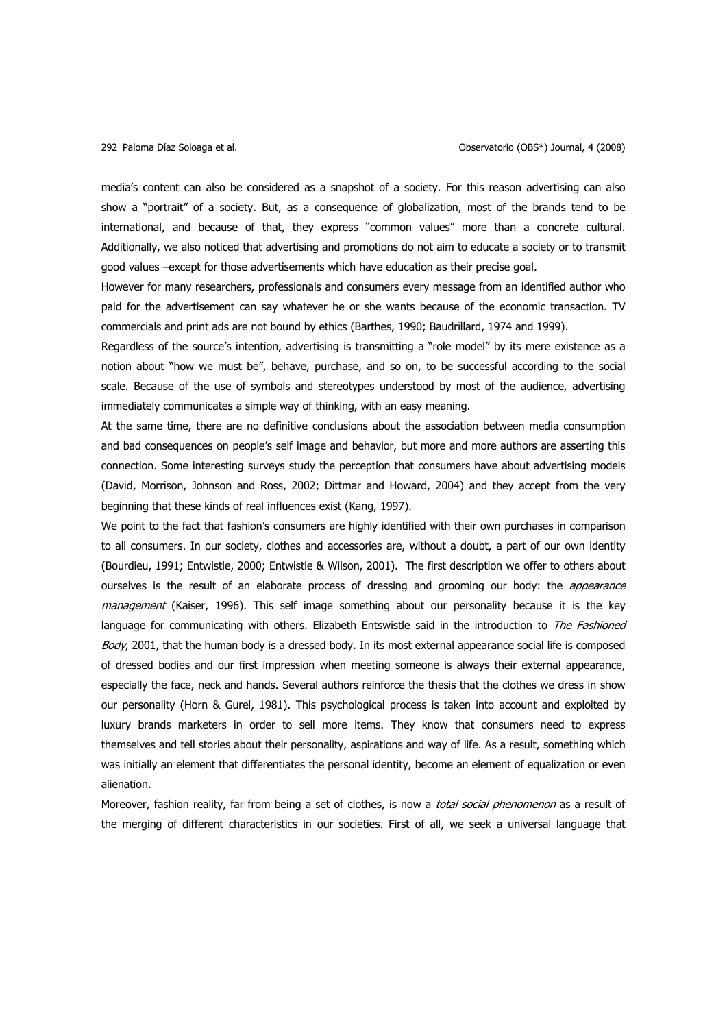media's content can also be considered as a snapshot of a society. For this reason advertising can also show a "portrait" of a society. But, as a consequence of globalization, most of the brands tend to be international, and because of that, they express "common values" more than a concrete cultural. Additionally, we also noticed that advertising and promotions do not aim to educate a society or to transmit good values –except for those advertisements which have education as their precise goal.

However for many researchers, professionals and consumers every message from an identified author who paid for the advertisement can say whatever he or she wants because of the economic transaction. TV commercials and print ads are not bound by ethics (Barthes, 1990; Baudrillard, 1974 and 1999).

Regardless of the source's intention, advertising is transmitting a "role model" by its mere existence as a notion about "how we must be", behave, purchase, and so on, to be successful according to the social scale. Because of the use of symbols and stereotypes understood by most of the audience, advertising immediately communicates a simple way of thinking, with an easy meaning.

At the same time, there are no definitive conclusions about the association between media consumption and bad consequences on people's self image and behavior, but more and more authors are asserting this connection. Some interesting surveys study the perception that consumers have about advertising models (David, Morrison, Johnson and Ross, 2002; Dittmar and Howard, 2004) and they accept from the very beginning that these kinds of real influences exist (Kang, 1997).

We point to the fact that fashion's consumers are highly identified with their own purchases in comparison to all consumers. In our society, clothes and accessories are, without a doubt, a part of our own identity (Bourdieu, 1991; Entwistle, 2000; Entwistle & Wilson, 2001). The first description we offer to others about ourselves is the result of an elaborate process of dressing and grooming our body: the *appearance* management (Kaiser, 1996). This self image something about our personality because it is the key language for communicating with others. Elizabeth Entswistle said in the introduction to The Fashioned Body, 2001, that the human body is a dressed body. In its most external appearance social life is composed of dressed bodies and our first impression when meeting someone is always their external appearance, especially the face, neck and hands. Several authors reinforce the thesis that the clothes we dress in show our personality (Horn & Gurel, 1981). This psychological process is taken into account and exploited by luxury brands marketers in order to sell more items. They know that consumers need to express themselves and tell stories about their personality, aspirations and way of life. As a result, something which was initially an element that differentiates the personal identity, become an element of equalization or even alienation.

Moreover, fashion reality, far from being a set of clothes, is now a total social phenomenon as a result of the merging of different characteristics in our societies. First of all, we seek a universal language that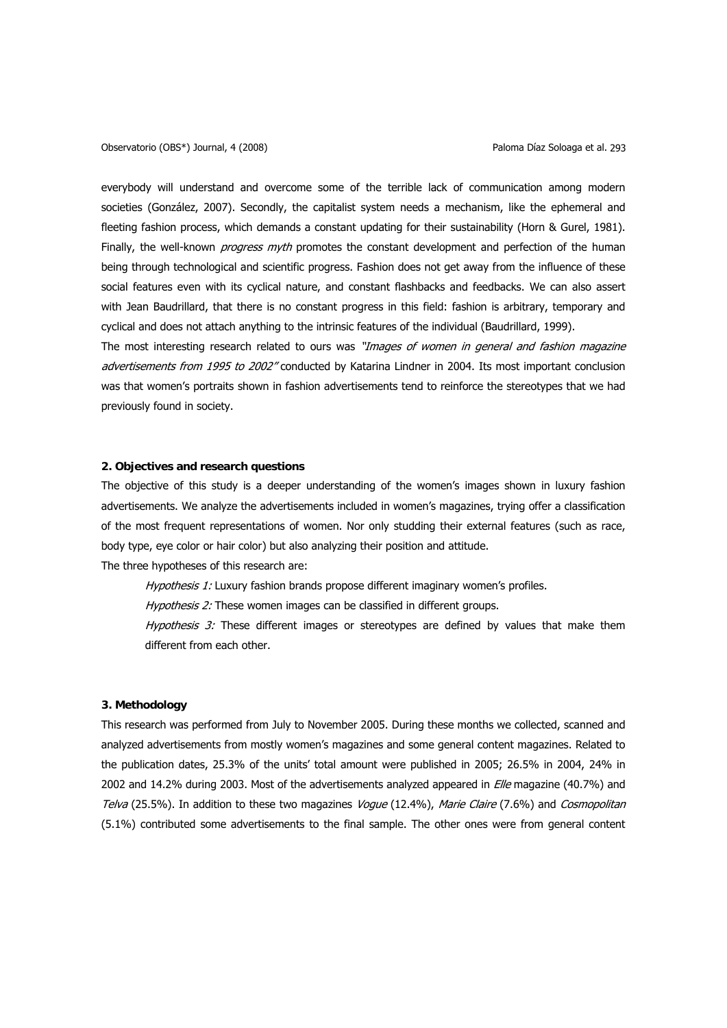everybody will understand and overcome some of the terrible lack of communication among modern societies (González, 2007). Secondly, the capitalist system needs a mechanism, like the ephemeral and fleeting fashion process, which demands a constant updating for their sustainability (Horn & Gurel, 1981). Finally, the well-known *progress myth* promotes the constant development and perfection of the human being through technological and scientific progress. Fashion does not get away from the influence of these social features even with its cyclical nature, and constant flashbacks and feedbacks. We can also assert with Jean Baudrillard, that there is no constant progress in this field: fashion is arbitrary, temporary and cyclical and does not attach anything to the intrinsic features of the individual (Baudrillard, 1999).

The most interesting research related to ours was "Images of women in general and fashion magazine advertisements from 1995 to 2002" conducted by Katarina Lindner in 2004. Its most important conclusion was that women's portraits shown in fashion advertisements tend to reinforce the stereotypes that we had previously found in society.

# **2. Objectives and research questions**

The objective of this study is a deeper understanding of the women's images shown in luxury fashion advertisements. We analyze the advertisements included in women's magazines, trying offer a classification of the most frequent representations of women. Nor only studding their external features (such as race, body type, eye color or hair color) but also analyzing their position and attitude.

The three hypotheses of this research are:

Hypothesis 1: Luxury fashion brands propose different imaginary women's profiles.

Hypothesis 2: These women images can be classified in different groups.

Hypothesis 3: These different images or stereotypes are defined by values that make them different from each other.

## **3. Methodology**

This research was performed from July to November 2005. During these months we collected, scanned and analyzed advertisements from mostly women's magazines and some general content magazines. Related to the publication dates, 25.3% of the units' total amount were published in 2005; 26.5% in 2004, 24% in 2002 and 14.2% during 2003. Most of the advertisements analyzed appeared in *Elle* magazine (40.7%) and Telva (25.5%). In addition to these two magazines Vogue (12.4%), Marie Claire (7.6%) and Cosmopolitan (5.1%) contributed some advertisements to the final sample. The other ones were from general content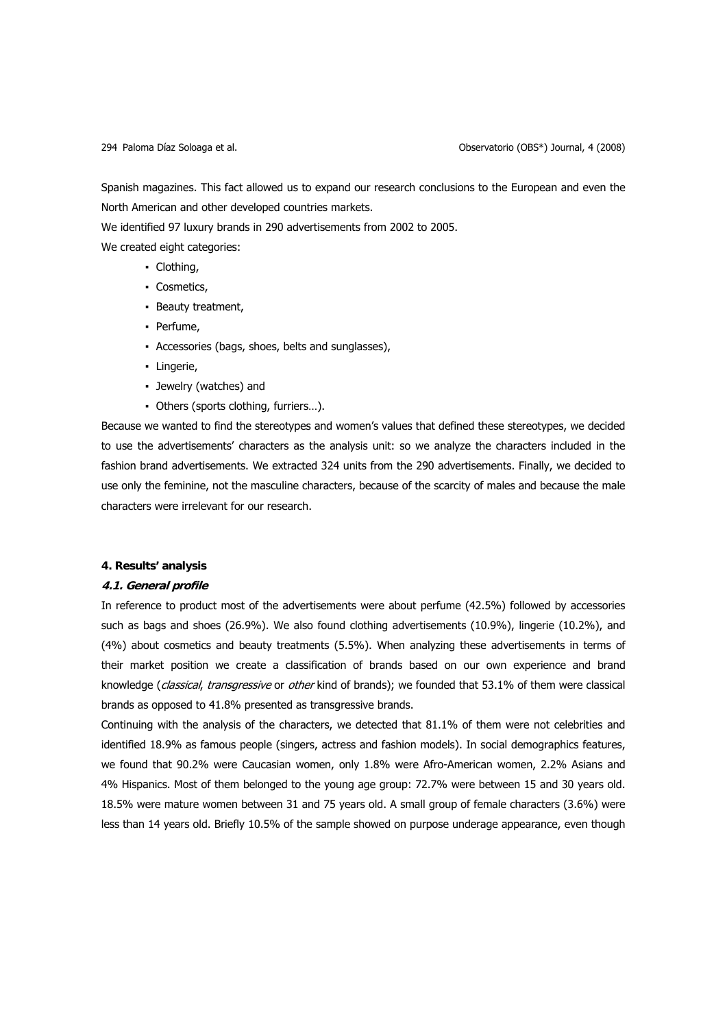Spanish magazines. This fact allowed us to expand our research conclusions to the European and even the North American and other developed countries markets.

We identified 97 luxury brands in 290 advertisements from 2002 to 2005.

We created eight categories:

- Clothing,
- Cosmetics,
- Beauty treatment,
- Perfume,
- Accessories (bags, shoes, belts and sunglasses),
- Lingerie,
- Jewelry (watches) and
- Others (sports clothing, furriers…).

Because we wanted to find the stereotypes and women's values that defined these stereotypes, we decided to use the advertisements' characters as the analysis unit: so we analyze the characters included in the fashion brand advertisements. We extracted 324 units from the 290 advertisements. Finally, we decided to use only the feminine, not the masculine characters, because of the scarcity of males and because the male characters were irrelevant for our research.

# **4. Results' analysis**

# **4.1. General profile**

In reference to product most of the advertisements were about perfume (42.5%) followed by accessories such as bags and shoes (26.9%). We also found clothing advertisements (10.9%), lingerie (10.2%), and (4%) about cosmetics and beauty treatments (5.5%). When analyzing these advertisements in terms of their market position we create a classification of brands based on our own experience and brand knowledge (classical, transgressive or other kind of brands); we founded that 53.1% of them were classical brands as opposed to 41.8% presented as transgressive brands.

Continuing with the analysis of the characters, we detected that 81.1% of them were not celebrities and identified 18.9% as famous people (singers, actress and fashion models). In social demographics features, we found that 90.2% were Caucasian women, only 1.8% were Afro-American women, 2.2% Asians and 4% Hispanics. Most of them belonged to the young age group: 72.7% were between 15 and 30 years old. 18.5% were mature women between 31 and 75 years old. A small group of female characters (3.6%) were less than 14 years old. Briefly 10.5% of the sample showed on purpose underage appearance, even though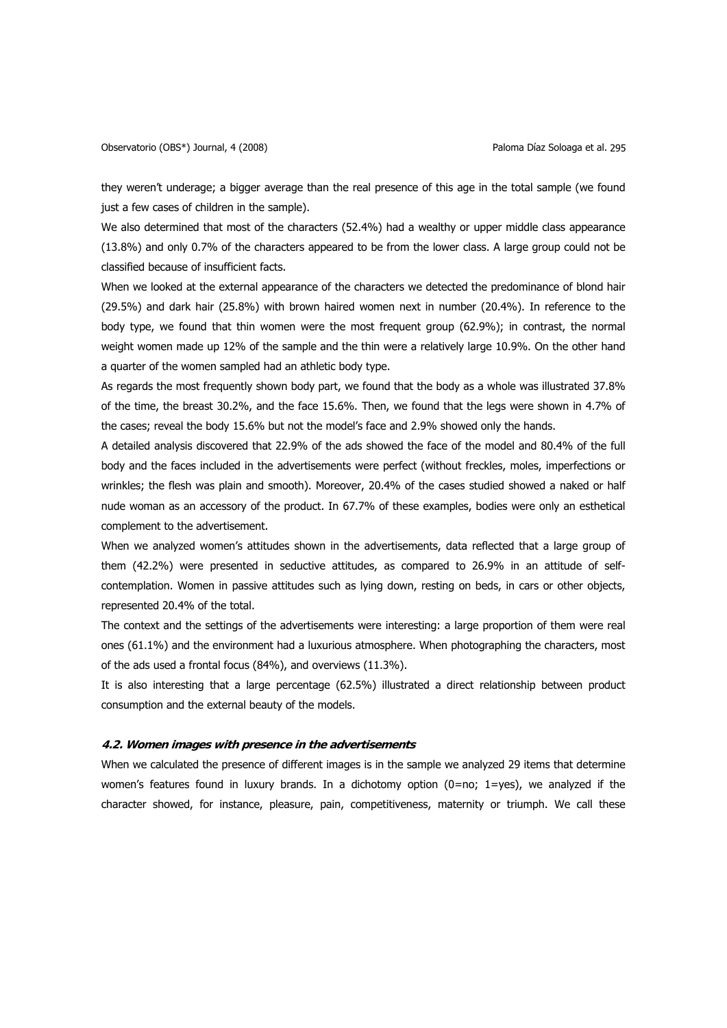they weren't underage; a bigger average than the real presence of this age in the total sample (we found just a few cases of children in the sample).

We also determined that most of the characters (52.4%) had a wealthy or upper middle class appearance (13.8%) and only 0.7% of the characters appeared to be from the lower class. A large group could not be classified because of insufficient facts.

When we looked at the external appearance of the characters we detected the predominance of blond hair (29.5%) and dark hair (25.8%) with brown haired women next in number (20.4%). In reference to the body type, we found that thin women were the most frequent group (62.9%); in contrast, the normal weight women made up 12% of the sample and the thin were a relatively large 10.9%. On the other hand a quarter of the women sampled had an athletic body type.

As regards the most frequently shown body part, we found that the body as a whole was illustrated 37.8% of the time, the breast 30.2%, and the face 15.6%. Then, we found that the legs were shown in 4.7% of the cases; reveal the body 15.6% but not the model's face and 2.9% showed only the hands.

A detailed analysis discovered that 22.9% of the ads showed the face of the model and 80.4% of the full body and the faces included in the advertisements were perfect (without freckles, moles, imperfections or wrinkles; the flesh was plain and smooth). Moreover, 20.4% of the cases studied showed a naked or half nude woman as an accessory of the product. In 67.7% of these examples, bodies were only an esthetical complement to the advertisement.

When we analyzed women's attitudes shown in the advertisements, data reflected that a large group of them (42.2%) were presented in seductive attitudes, as compared to 26.9% in an attitude of selfcontemplation. Women in passive attitudes such as lying down, resting on beds, in cars or other objects, represented 20.4% of the total.

The context and the settings of the advertisements were interesting: a large proportion of them were real ones (61.1%) and the environment had a luxurious atmosphere. When photographing the characters, most of the ads used a frontal focus (84%), and overviews (11.3%).

It is also interesting that a large percentage (62.5%) illustrated a direct relationship between product consumption and the external beauty of the models.

# **4.2. Women images with presence in the advertisements**

When we calculated the presence of different images is in the sample we analyzed 29 items that determine women's features found in luxury brands. In a dichotomy option (0=no; 1=yes), we analyzed if the character showed, for instance, pleasure, pain, competitiveness, maternity or triumph. We call these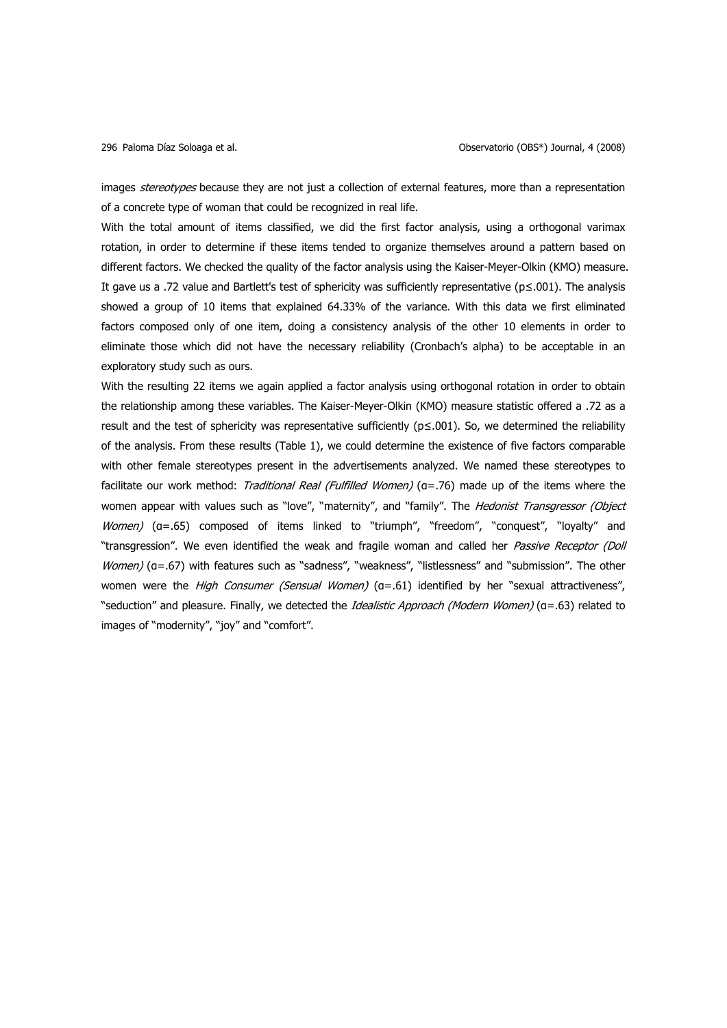images stereotypes because they are not just a collection of external features, more than a representation of a concrete type of woman that could be recognized in real life.

With the total amount of items classified, we did the first factor analysis, using a orthogonal varimax rotation, in order to determine if these items tended to organize themselves around a pattern based on different factors. We checked the quality of the factor analysis using the Kaiser-Meyer-Olkin (KMO) measure. It gave us a .72 value and Bartlett's test of sphericity was sufficiently representative (p≤.001). The analysis showed a group of 10 items that explained 64.33% of the variance. With this data we first eliminated factors composed only of one item, doing a consistency analysis of the other 10 elements in order to eliminate those which did not have the necessary reliability (Cronbach's alpha) to be acceptable in an exploratory study such as ours.

With the resulting 22 items we again applied a factor analysis using orthogonal rotation in order to obtain the relationship among these variables. The Kaiser-Meyer-Olkin (KMO) measure statistic offered a .72 as a result and the test of sphericity was representative sufficiently ( $p \le 0.001$ ). So, we determined the reliability of the analysis. From these results (Table 1), we could determine the existence of five factors comparable with other female stereotypes present in the advertisements analyzed. We named these stereotypes to facilitate our work method: Traditional Real (Fulfilled Women) (a=.76) made up of the items where the women appear with values such as "love", "maternity", and "family". The Hedonist Transgressor (Object Women) (a=.65) composed of items linked to "triumph", "freedom", "conquest", "loyalty" and "transgression". We even identified the weak and fragile woman and called her Passive Receptor (Doll Women) (a=.67) with features such as "sadness", "weakness", "listlessness" and "submission". The other women were the *High Consumer (Sensual Women)* (α=.61) identified by her "sexual attractiveness", "seduction" and pleasure. Finally, we detected the Idealistic Approach (Modern Women) (a=.63) related to images of "modernity", "joy" and "comfort".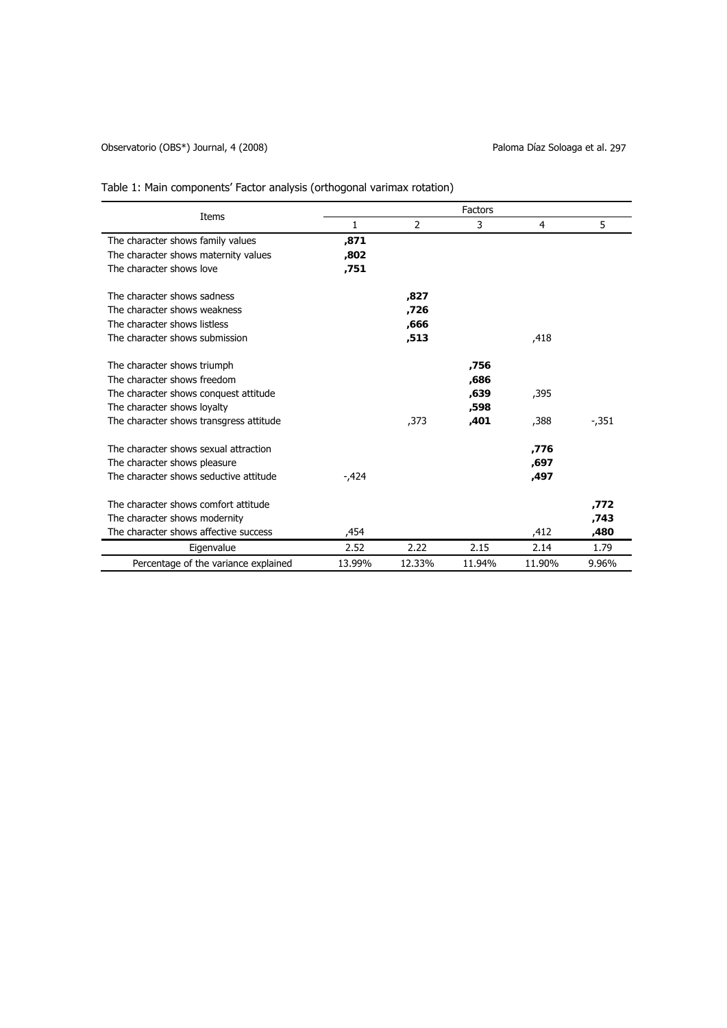# Observatorio (OBS\*) Journal, 4 (2008) Coservatorio (OBS+) Journal, 4 (2008)

|                                         | Factors |        |        |        |          |  |  |
|-----------------------------------------|---------|--------|--------|--------|----------|--|--|
| Items                                   | 1       | 2      | 3      | 4      | 5        |  |  |
| The character shows family values       | ,871    |        |        |        |          |  |  |
| The character shows maternity values    | ,802    |        |        |        |          |  |  |
| The character shows love                | ,751    |        |        |        |          |  |  |
| The character shows sadness             |         | ,827   |        |        |          |  |  |
| The character shows weakness            |         | ,726   |        |        |          |  |  |
| The character shows listless            |         | ,666   |        |        |          |  |  |
| The character shows submission          |         | ,513   |        | ,418   |          |  |  |
| The character shows triumph             |         |        | ,756   |        |          |  |  |
| The character shows freedom             |         |        | ,686   |        |          |  |  |
| The character shows conquest attitude   |         |        | ,639   | ,395   |          |  |  |
| The character shows loyalty             |         |        | ,598   |        |          |  |  |
| The character shows transgress attitude |         | ,373   | ,401   | ,388   | $-0.351$ |  |  |
| The character shows sexual attraction   |         |        |        | ,776   |          |  |  |
| The character shows pleasure            |         |        |        | ,697   |          |  |  |
| The character shows seductive attitude  | -,424   |        |        | ,497   |          |  |  |
| The character shows comfort attitude    |         |        |        |        | ,772     |  |  |
| The character shows modernity           |         |        |        |        | ,743     |  |  |
| The character shows affective success   | 454,    |        |        | ,412   | ,480     |  |  |
| Eigenvalue                              | 2.52    | 2.22   | 2.15   | 2.14   | 1.79     |  |  |
| Percentage of the variance explained    | 13.99%  | 12.33% | 11.94% | 11.90% | 9.96%    |  |  |

# Table 1: Main components' Factor analysis (orthogonal varimax rotation)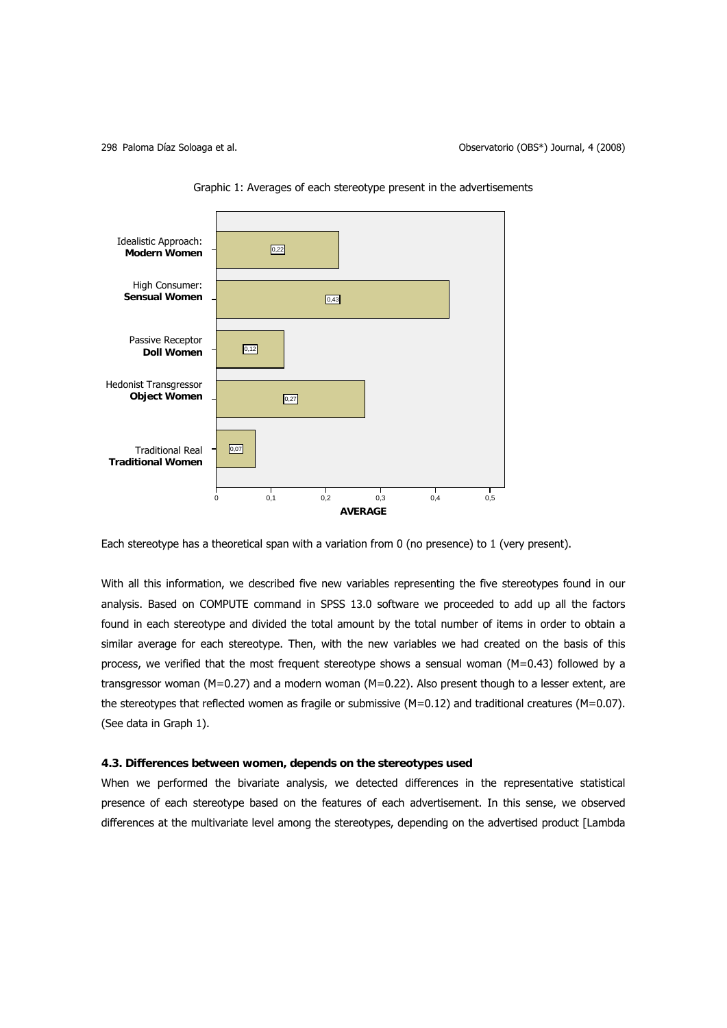

Graphic 1: Averages of each stereotype present in the advertisements

Each stereotype has a theoretical span with a variation from 0 (no presence) to 1 (very present).

With all this information, we described five new variables representing the five stereotypes found in our analysis. Based on COMPUTE command in SPSS 13.0 software we proceeded to add up all the factors found in each stereotype and divided the total amount by the total number of items in order to obtain a similar average for each stereotype. Then, with the new variables we had created on the basis of this process, we verified that the most frequent stereotype shows a sensual woman (M=0.43) followed by a transgressor woman (M=0.27) and a modern woman (M=0.22). Also present though to a lesser extent, are the stereotypes that reflected women as fragile or submissive  $(M=0.12)$  and traditional creatures  $(M=0.07)$ . (See data in Graph 1).

## **4.3. Differences between women, depends on the stereotypes used**

When we performed the bivariate analysis, we detected differences in the representative statistical presence of each stereotype based on the features of each advertisement. In this sense, we observed differences at the multivariate level among the stereotypes, depending on the advertised product [Lambda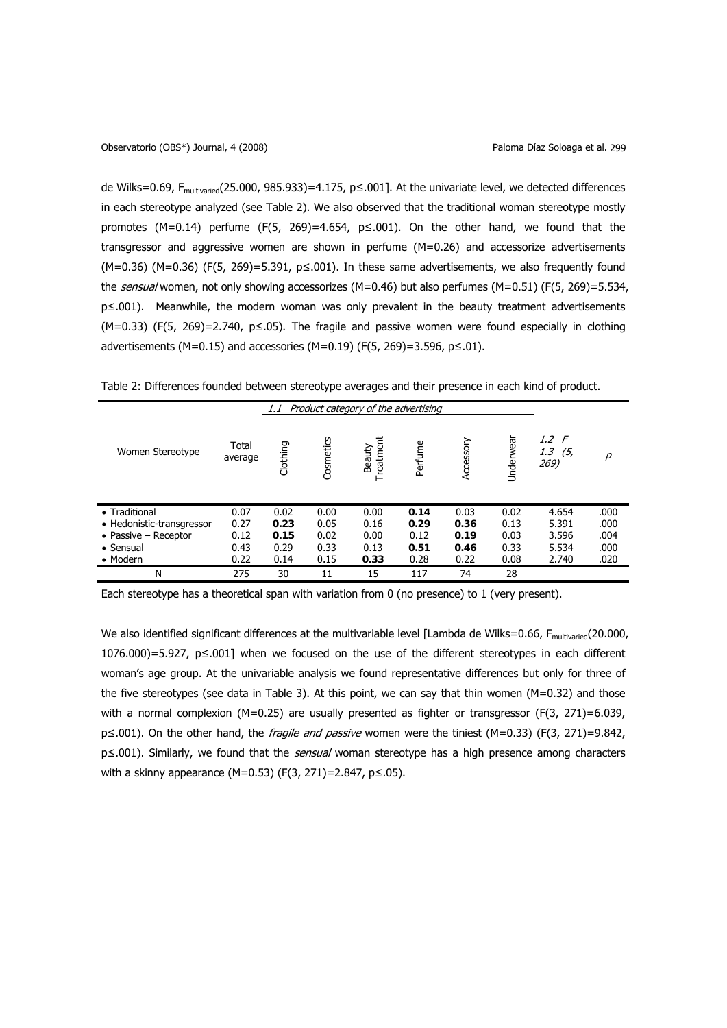de Wilks=0.69, Fmultivaried(25.000, 985.933)=4.175, p≤.001]. At the univariate level, we detected differences in each stereotype analyzed (see Table 2). We also observed that the traditional woman stereotype mostly promotes  $(M=0.14)$  perfume (F(5, 269)=4.654, p≤.001). On the other hand, we found that the transgressor and aggressive women are shown in perfume (M=0.26) and accessorize advertisements (M=0.36) (M=0.36) (F(5, 269)=5.391, p≤.001). In these same advertisements, we also frequently found the sensual women, not only showing accessorizes (M=0.46) but also perfumes (M=0.51) (F(5, 269)=5.534, p≤.001). Meanwhile, the modern woman was only prevalent in the beauty treatment advertisements (M=0.33) (F(5, 269)=2.740, p≤.05). The fragile and passive women were found especially in clothing advertisements (M=0.15) and accessories (M=0.19) (F(5, 269)=3.596,  $p ≤ .01$ ).

Table 2: Differences founded between stereotype averages and their presence in each kind of product.

|                           |                  | 1.1      |           |                   | Product category of the advertising |           |           |                                |      |
|---------------------------|------------------|----------|-----------|-------------------|-------------------------------------|-----------|-----------|--------------------------------|------|
| Women Stereotype          | Total<br>average | Clothing | Cosmetics | Treatme<br>Beauty | Perfume                             | Accessory | Underwear | 1.2 F<br>1.3<br>(5, 5)<br>269) | р    |
| • Traditional             | 0.07             | 0.02     | 0.00      | 0.00              | 0.14                                | 0.03      | 0.02      | 4.654                          | .000 |
| • Hedonistic-transgressor | 0.27             | 0.23     | 0.05      | 0.16              | 0.29                                | 0.36      | 0.13      | 5.391                          | .000 |
| • Passive $-$ Receptor    | 0.12             | 0.15     | 0.02      | 0.00              | 0.12                                | 0.19      | 0.03      | 3.596                          | .004 |
| $\bullet$ Sensual         | 0.43             | 0.29     | 0.33      | 0.13              | 0.51                                | 0.46      | 0.33      | 5.534                          | .000 |
| • Modern                  | 0.22             | 0.14     | 0.15      | 0.33              | 0.28                                | 0.22      | 0.08      | 2.740                          | .020 |
| N                         | 275              | 30       | 11        | 15                | 117                                 | 74        | 28        |                                |      |

Each stereotype has a theoretical span with variation from 0 (no presence) to 1 (very present).

We also identified significant differences at the multivariable level [Lambda de Wilks=0.66, F<sub>multivaried</sub>(20.000, 1076.000)=5.927, p≤.001] when we focused on the use of the different stereotypes in each different woman's age group. At the univariable analysis we found representative differences but only for three of the five stereotypes (see data in Table 3). At this point, we can say that thin women  $(M=0.32)$  and those with a normal complexion (M=0.25) are usually presented as fighter or transgressor (F(3, 271)=6.039, p≤.001). On the other hand, the *fragile and passive* women were the tiniest (M=0.33) (F(3, 271)=9.842, p≤.001). Similarly, we found that the *sensual* woman stereotype has a high presence among characters with a skinny appearance (M=0.53) (F(3, 271)=2.847, p≤.05).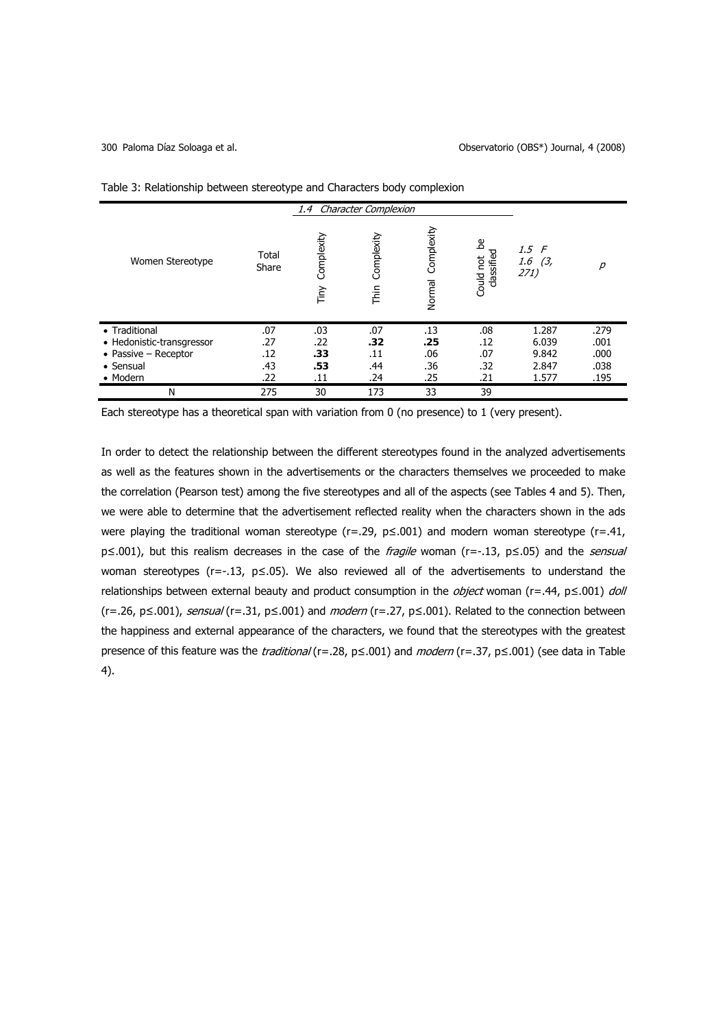|                              |                |                    | 1.4 Character Complexion |                      |                                 |                             |                   |
|------------------------------|----------------|--------------------|--------------------------|----------------------|---------------------------------|-----------------------------|-------------------|
| Women Stereotype             | Total<br>Share | Complexity<br>Tiny | Complexity<br>Thin       | Complexity<br>Normal | ൧<br>classified<br>not<br>Could | 1.5 F<br>1.6<br>(3,<br>271) | $\overline{\rho}$ |
| • Traditional                | .07            | .03                | .07                      | .13                  | .08                             | 1.287                       | .279              |
| • Hedonistic-transgressor    | .27            | .22                | .32                      | .25                  | .12                             | 6.039                       | .001              |
| $\bullet$ Passive - Receptor | .12            | .33                | .11                      | .06                  | .07                             | 9.842                       | .000              |
| • Sensual                    | .43            | .53                | .44                      | .36                  | .32                             | 2.847                       | .038              |
| • Modern                     | .22            | .11                | .24                      | .25                  | .21                             | 1.577                       | .195              |
| Ν                            | 275            | 30                 | 173                      | 33                   | 39                              |                             |                   |

Table 3: Relationship between stereotype and Characters body complexion

Each stereotype has a theoretical span with variation from 0 (no presence) to 1 (very present).

In order to detect the relationship between the different stereotypes found in the analyzed advertisements as well as the features shown in the advertisements or the characters themselves we proceeded to make the correlation (Pearson test) among the five stereotypes and all of the aspects (see Tables 4 and 5). Then, we were able to determine that the advertisement reflected reality when the characters shown in the ads were playing the traditional woman stereotype (r=.29,  $p \le 0.001$ ) and modern woman stereotype (r=.41, p≤.001), but this realism decreases in the case of the fragile woman (r=-.13, p≤.05) and the *sensual* woman stereotypes (r=-.13, p≤.05). We also reviewed all of the advertisements to understand the relationships between external beauty and product consumption in the *object* woman (r=.44,  $p \le 0.001$ ) doll (r=.26, p≤.001), sensual (r=.31, p≤.001) and modern (r=.27, p≤.001). Related to the connection between the happiness and external appearance of the characters, we found that the stereotypes with the greatest presence of this feature was the *traditional* (r=.28, p≤.001) and *modern* (r=.37, p≤.001) (see data in Table 4).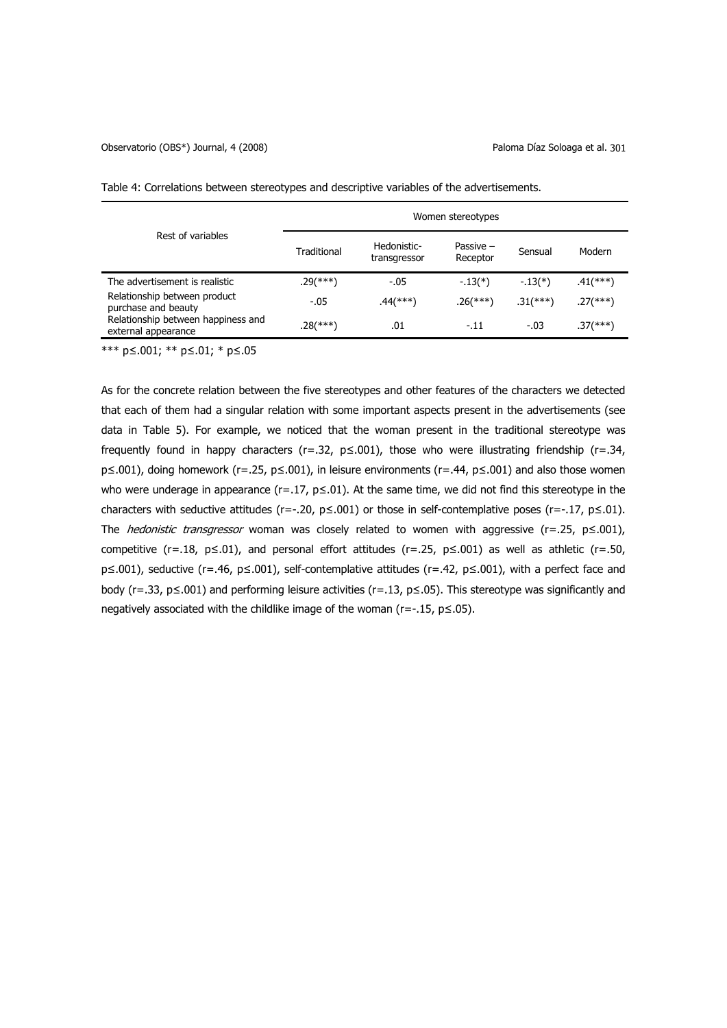| Rest of variables                                         | Women stereotypes |                             |                       |             |                        |  |  |
|-----------------------------------------------------------|-------------------|-----------------------------|-----------------------|-------------|------------------------|--|--|
|                                                           | Traditional       | Hedonistic-<br>transgressor | Passive -<br>Receptor | Sensual     | Modern                 |  |  |
| The advertisement is realistic                            | $.29$ (***)       | $-0.05$                     | $-13(*)$              | $-13(*)$    | $.41$ (***)            |  |  |
| Relationship between product<br>purchase and beauty       | $-.05$            | $.44$ (***)                 | $.26$ (***)           | $.31$ (***) | $.27$ (***)            |  |  |
| Relationship between happiness and<br>external appearance | $.28$ (***)       | .01                         | $-.11$                | $-.03$      | $.37$ <sup>(***)</sup> |  |  |

Table 4: Correlations between stereotypes and descriptive variables of the advertisements.

\*\*\* p≤.001; \*\* p≤.01; \* p≤.05

As for the concrete relation between the five stereotypes and other features of the characters we detected that each of them had a singular relation with some important aspects present in the advertisements (see data in Table 5). For example, we noticed that the woman present in the traditional stereotype was frequently found in happy characters (r=.32,  $p \le 0.001$ ), those who were illustrating friendship (r=.34, p≤.001), doing homework (r=.25, p≤.001), in leisure environments (r=.44, p≤.001) and also those women who were underage in appearance ( $r=0.17$ ,  $p\leq0.01$ ). At the same time, we did not find this stereotype in the characters with seductive attitudes (r=-.20,  $p \le 0.001$ ) or those in self-contemplative poses (r=-.17,  $p \le 0.01$ ). The *hedonistic transgressor* woman was closely related to women with aggressive (r=.25, p ≤.001), competitive (r=.18, p≤.01), and personal effort attitudes (r=.25, p≤.001) as well as athletic (r=.50, p≤.001), seductive (r=.46, p≤.001), self-contemplative attitudes (r=.42, p≤.001), with a perfect face and body (r=.33, p≤.001) and performing leisure activities (r=.13, p≤.05). This stereotype was significantly and negatively associated with the childlike image of the woman ( $r=-.15$ ,  $p\leq .05$ ).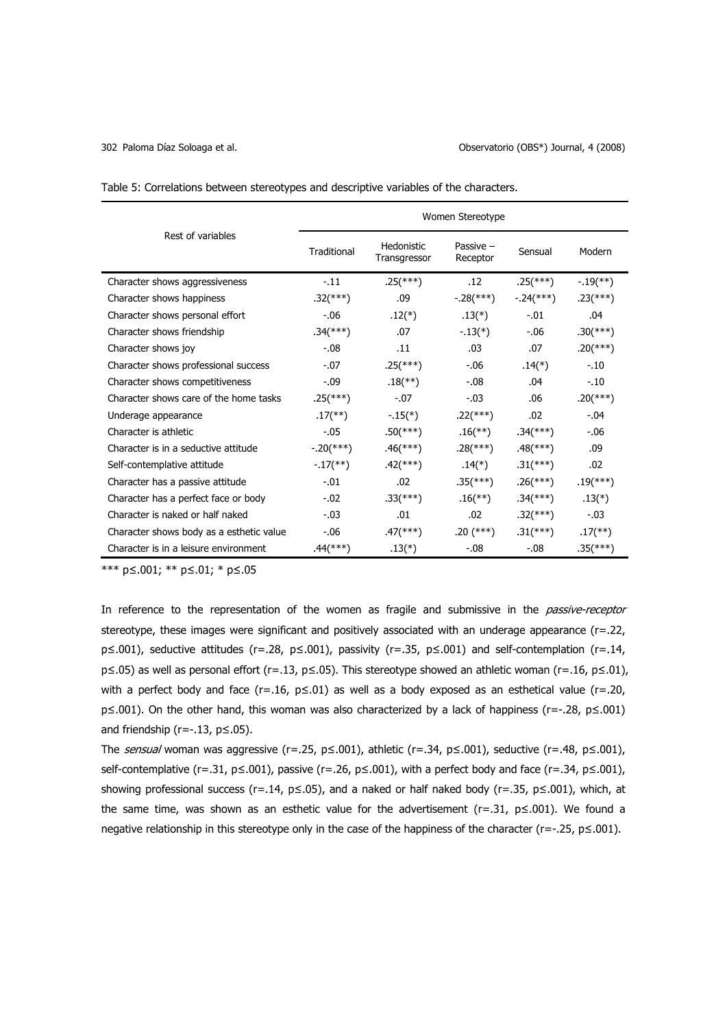| Table 5: Correlations between stereotypes and descriptive variables of the characters. |
|----------------------------------------------------------------------------------------|
|----------------------------------------------------------------------------------------|

|                                          | Women Stereotype         |                            |                           |                           |                          |  |  |
|------------------------------------------|--------------------------|----------------------------|---------------------------|---------------------------|--------------------------|--|--|
| Rest of variables                        | Traditional              | Hedonistic<br>Transgressor | Passive $-$<br>Receptor   | Sensual                   | Modern                   |  |  |
| Character shows aggressiveness           | $-11$                    | $.25$ (***)                | .12                       | $.25$ (***)               | $-19$ <sup>**</sup> )    |  |  |
| Character shows happiness                | $.32$ (***)              | .09                        | $-.28$ <sup>(***)</sup> ) | $-.24$ <sup>(***)</sup> ) | $.23$ <sup>(***)</sup> ) |  |  |
| Character shows personal effort          | $-.06$                   | $.12(*)$                   | $.13(*)$                  | $-.01$                    | .04                      |  |  |
| Character shows friendship               | $.34$ <sup>(***)</sup> ) | .07                        | $-13(*)$                  | $-0.06$                   | $.30$ (***)              |  |  |
| Character shows joy                      | $-.08$                   | .11                        | .03                       | .07                       | $.20$ (***)              |  |  |
| Character shows professional success     | $-.07$                   | $.25$ <sup>(***)</sup> )   | $-0.06$                   | $.14(*)$                  | $-.10$                   |  |  |
| Character shows competitiveness          | $-.09$                   | $.18$ <sup>(**)</sup> )    | $-.08$                    | .04                       | $-.10$                   |  |  |
| Character shows care of the home tasks   | $.25$ (***)              | $-.07$                     | $-.03$                    | .06                       | $.20$ (***)              |  |  |
| Underage appearance                      | $.17$ <sup>(**)</sup> )  | $-.15(*)$                  | $.22$ (***)               | .02                       | $-.04$                   |  |  |
| Character is athletic                    | $-.05$                   | $.50$ (***)                | $.16$ <sup>**</sup> )     | $.34$ <sup>(***)</sup> )  | $-.06$                   |  |  |
| Character is in a seductive attitude     | $-.20$ (***)             | $.46$ (***)                | $.28$ (***)               | $.48$ (***)               | .09                      |  |  |
| Self-contemplative attitude              | $-17$ <sup>**</sup> )    | $.42$ (***)                | $.14(*)$                  | $.31$ (***)               | .02                      |  |  |
| Character has a passive attitude         | $-.01$                   | .02                        | $.35$ (***)               | $.26$ (***)               | $.19$ <sup>(***)</sup> ) |  |  |
| Character has a perfect face or body     | $-.02$                   | $.33$ (***)                | $.16$ <sup>(**)</sup> )   | $.34$ <sup>(***)</sup> )  | $.13(*)$                 |  |  |
| Character is naked or half naked         | $-.03$                   | .01                        | .02                       | $.32$ (***)               | $-.03$                   |  |  |
| Character shows body as a esthetic value | $-0.06$                  | $.47$ <sup>(***)</sup> ).  | $.20$ (***)               | $.31$ (***)               | $.17$ <sup>**</sup> )    |  |  |
| Character is in a leisure environment    | .44(***)                 | $.13(*)$                   | $-.08$                    | $-.08$                    | $.35$ <sup>(***)</sup> ) |  |  |

\*\*\* p≤.001; \*\* p≤.01; \* p≤.05

In reference to the representation of the women as fragile and submissive in the *passive-receptor* stereotype, these images were significant and positively associated with an underage appearance (r=.22, p≤.001), seductive attitudes (r=.28, p≤.001), passivity (r=.35, p≤.001) and self-contemplation (r=.14, p≤.05) as well as personal effort (r=.13, p≤.05). This stereotype showed an athletic woman (r=.16, p≤.01), with a perfect body and face (r=.16, p≤.01) as well as a body exposed as an esthetical value (r=.20, p≤.001). On the other hand, this woman was also characterized by a lack of happiness (r=-.28, p≤.001) and friendship ( $r=-.13$ ,  $p\leq .05$ ).

The sensual woman was aggressive (r=.25, p≤.001), athletic (r=.34, p≤.001), seductive (r=.48, p≤.001), self-contemplative (r=.31, p≤.001), passive (r=.26, p≤.001), with a perfect body and face (r=.34, p≤.001), showing professional success (r=.14, p≤.05), and a naked or half naked body (r=.35, p≤.001), which, at the same time, was shown as an esthetic value for the advertisement ( $r=.31$ ,  $p \le .001$ ). We found a negative relationship in this stereotype only in the case of the happiness of the character (r=-.25, p≤.001).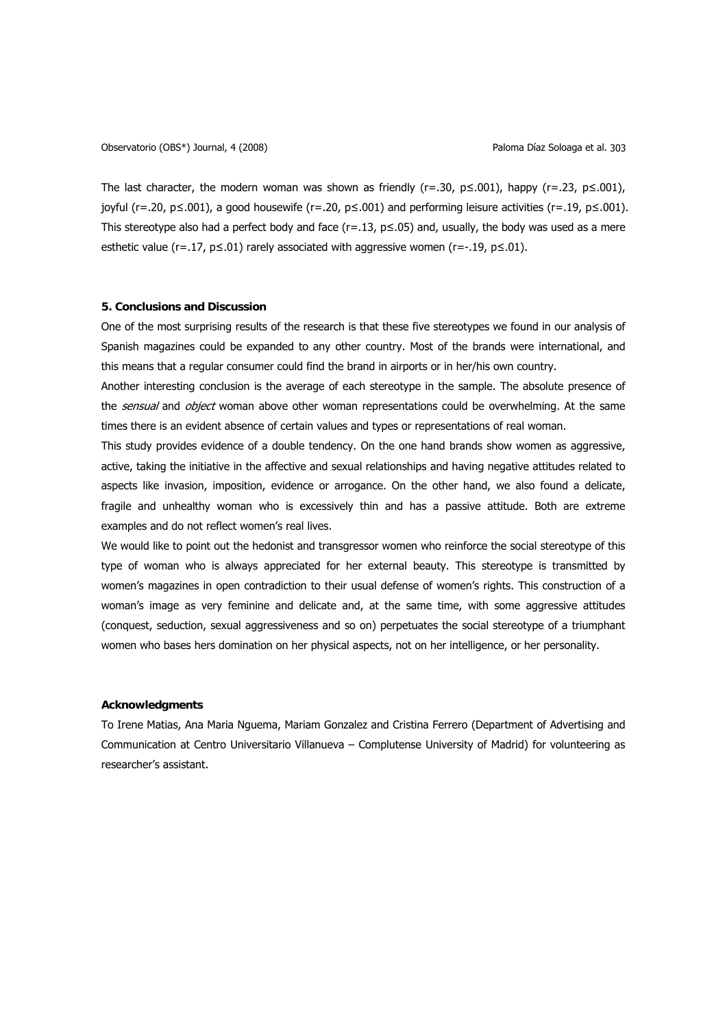The last character, the modern woman was shown as friendly ( $r=0.30$ ,  $p\leq0.01$ ), happy ( $r=.23$ ,  $p\leq0.001$ ), joyful (r=.20, p≤.001), a good housewife (r=.20, p≤.001) and performing leisure activities (r=.19, p≤.001). This stereotype also had a perfect body and face ( $r=.13$ ,  $p\le.05$ ) and, usually, the body was used as a mere esthetic value ( $r=.17$ ,  $p \le .01$ ) rarely associated with aggressive women ( $r=.19$ ,  $p \le .01$ ).

## **5. Conclusions and Discussion**

One of the most surprising results of the research is that these five stereotypes we found in our analysis of Spanish magazines could be expanded to any other country. Most of the brands were international, and this means that a regular consumer could find the brand in airports or in her/his own country.

Another interesting conclusion is the average of each stereotype in the sample. The absolute presence of the sensual and object woman above other woman representations could be overwhelming. At the same times there is an evident absence of certain values and types or representations of real woman.

This study provides evidence of a double tendency. On the one hand brands show women as aggressive, active, taking the initiative in the affective and sexual relationships and having negative attitudes related to aspects like invasion, imposition, evidence or arrogance. On the other hand, we also found a delicate, fragile and unhealthy woman who is excessively thin and has a passive attitude. Both are extreme examples and do not reflect women's real lives.

We would like to point out the hedonist and transgressor women who reinforce the social stereotype of this type of woman who is always appreciated for her external beauty. This stereotype is transmitted by women's magazines in open contradiction to their usual defense of women's rights. This construction of a woman's image as very feminine and delicate and, at the same time, with some aggressive attitudes (conquest, seduction, sexual aggressiveness and so on) perpetuates the social stereotype of a triumphant women who bases hers domination on her physical aspects, not on her intelligence, or her personality.

## **Acknowledgments**

To Irene Matias, Ana Maria Nguema, Mariam Gonzalez and Cristina Ferrero (Department of Advertising and Communication at Centro Universitario Villanueva – Complutense University of Madrid) for volunteering as researcher's assistant.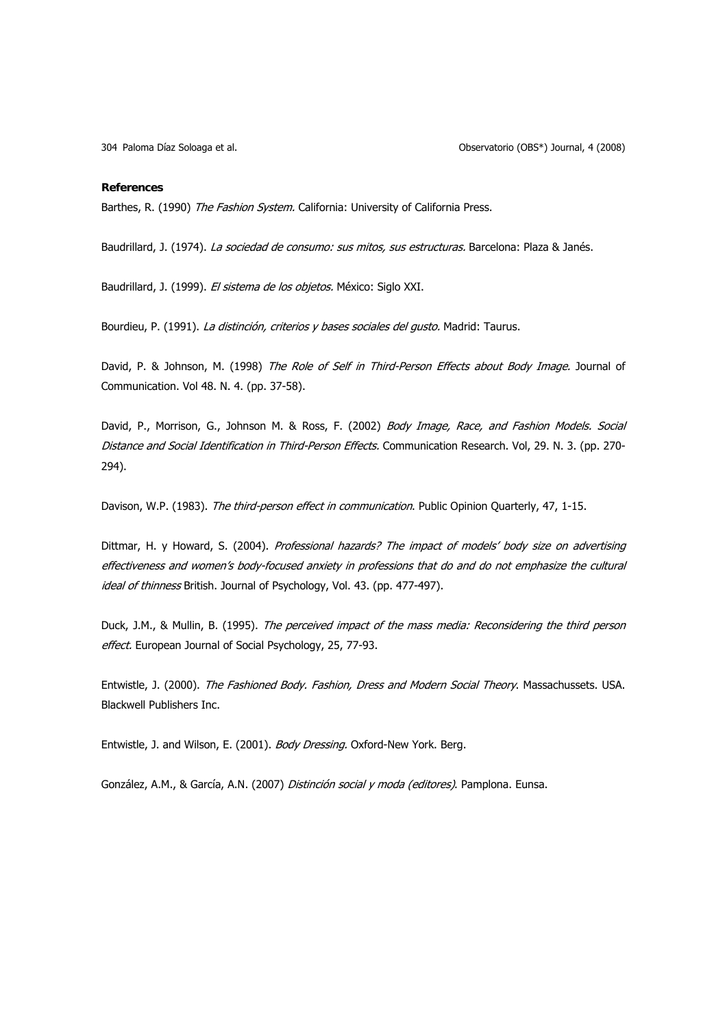Paloma Díaz Soloaga et al. 304 Observatorio (OBS\*) Journal, 4 (2008)

#### **References**

Barthes, R. (1990) The Fashion System. California: University of California Press.

Baudrillard, J. (1974). La sociedad de consumo: sus mitos, sus estructuras. Barcelona: Plaza & Janés.

Baudrillard, J. (1999). El sistema de los objetos. México: Siglo XXI.

Bourdieu, P. (1991). La distinción, criterios y bases sociales del gusto. Madrid: Taurus.

David, P. & Johnson, M. (1998) The Role of Self in Third-Person Effects about Body Image. Journal of Communication. Vol 48. N. 4. (pp. 37-58).

David, P., Morrison, G., Johnson M. & Ross, F. (2002) Body Image, Race, and Fashion Models. Social Distance and Social Identification in Third-Person Effects. Communication Research. Vol, 29. N. 3. (pp. 270-294).

Davison, W.P. (1983). The third-person effect in communication. Public Opinion Quarterly, 47, 1-15.

Dittmar, H. y Howard, S. (2004). Professional hazards? The impact of models' body size on advertising effectiveness and women's body-focused anxiety in professions that do and do not emphasize the cultural ideal of thinness British. Journal of Psychology, Vol. 43. (pp. 477-497).

Duck, J.M., & Mullin, B. (1995). The perceived impact of the mass media: Reconsidering the third person effect. European Journal of Social Psychology, 25, 77-93.

Entwistle, J. (2000). The Fashioned Body. Fashion, Dress and Modern Social Theory. Massachussets. USA. Blackwell Publishers Inc.

Entwistle, J. and Wilson, E. (2001). Body Dressing. Oxford-New York. Berg.

González, A.M., & García, A.N. (2007) Distinción social y moda (editores). Pamplona. Eunsa.